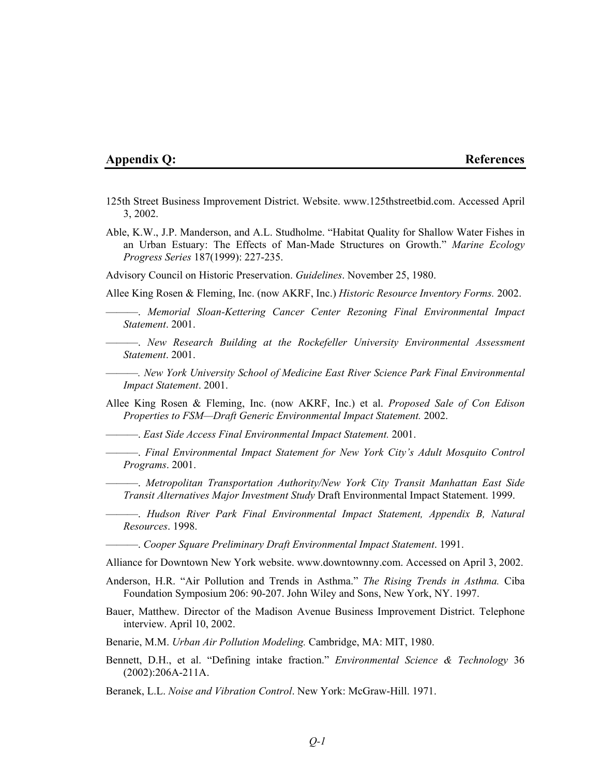## **Appendix Q:** References

- 125th Street Business Improvement District. Website. www.125thstreetbid.com. Accessed April 3, 2002.
- Able, K.W., J.P. Manderson, and A.L. Studholme. "Habitat Quality for Shallow Water Fishes in an Urban Estuary: The Effects of Man-Made Structures on Growth." *Marine Ecology Progress Series* 187(1999): 227-235.

Advisory Council on Historic Preservation. *Guidelines*. November 25, 1980.

Allee King Rosen & Fleming, Inc. (now AKRF, Inc.) *Historic Resource Inventory Forms.* 2002.

———. *Memorial Sloan-Kettering Cancer Center Rezoning Final Environmental Impact Statement*. 2001.

- ———. *New Research Building at the Rockefeller University Environmental Assessment Statement*. 2001.
- ———*. New York University School of Medicine East River Science Park Final Environmental Impact Statement*. 2001.

Allee King Rosen & Fleming, Inc. (now AKRF, Inc.) et al. *Proposed Sale of Con Edison Properties to FSM—Draft Generic Environmental Impact Statement.* 2002.

———. *East Side Access Final Environmental Impact Statement.* 2001.

———. *Final Environmental Impact Statement for New York City's Adult Mosquito Control Programs*. 2001.

———. *Metropolitan Transportation Authority/New York City Transit Manhattan East Side Transit Alternatives Major Investment Study* Draft Environmental Impact Statement. 1999.

———. *Hudson River Park Final Environmental Impact Statement, Appendix B, Natural Resources*. 1998.

———. *Cooper Square Preliminary Draft Environmental Impact Statement*. 1991.

Alliance for Downtown New York website. www.downtownny.com. Accessed on April 3, 2002.

- Anderson, H.R. "Air Pollution and Trends in Asthma." *The Rising Trends in Asthma.* Ciba Foundation Symposium 206: 90-207. John Wiley and Sons, New York, NY. 1997.
- Bauer, Matthew. Director of the Madison Avenue Business Improvement District. Telephone interview. April 10, 2002.

Benarie, M.M. *Urban Air Pollution Modeling.* Cambridge, MA: MIT, 1980.

Bennett, D.H., et al. "Defining intake fraction." *Environmental Science & Technology* 36 (2002):206A-211A.

Beranek, L.L. *Noise and Vibration Control*. New York: McGraw-Hill. 1971.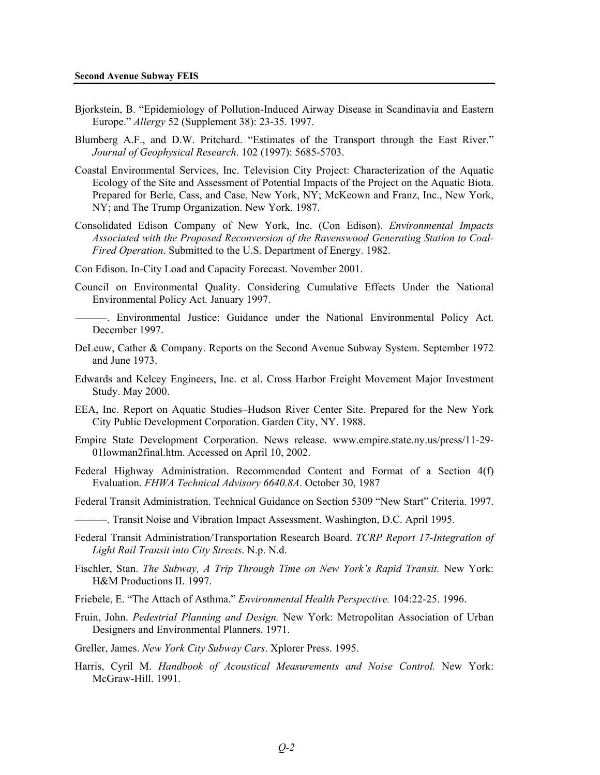- Bjorkstein, B. "Epidemiology of Pollution-Induced Airway Disease in Scandinavia and Eastern Europe." *Allergy* 52 (Supplement 38): 23-35. 1997.
- Blumberg A.F., and D.W. Pritchard. "Estimates of the Transport through the East River." *Journal of Geophysical Research*. 102 (1997): 5685-5703.
- Coastal Environmental Services, Inc. Television City Project: Characterization of the Aquatic Ecology of the Site and Assessment of Potential Impacts of the Project on the Aquatic Biota. Prepared for Berle, Cass, and Case, New York, NY; McKeown and Franz, Inc., New York, NY; and The Trump Organization. New York. 1987.
- Consolidated Edison Company of New York, Inc. (Con Edison). *Environmental Impacts Associated with the Proposed Reconversion of the Ravenswood Generating Station to Coal-Fired Operation*. Submitted to the U.S. Department of Energy. 1982.
- Con Edison. In-City Load and Capacity Forecast. November 2001.
- Council on Environmental Quality. Considering Cumulative Effects Under the National Environmental Policy Act. January 1997.
	- ———. Environmental Justice: Guidance under the National Environmental Policy Act. December 1997.
- DeLeuw, Cather & Company. Reports on the Second Avenue Subway System. September 1972 and June 1973.
- Edwards and Kelcey Engineers, Inc. et al. Cross Harbor Freight Movement Major Investment Study. May 2000.
- EEA, Inc. Report on Aquatic Studies–Hudson River Center Site. Prepared for the New York City Public Development Corporation. Garden City, NY. 1988.
- Empire State Development Corporation. News release. www.empire.state.ny.us/press/11-29- 01lowman2final.htm. Accessed on April 10, 2002.
- Federal Highway Administration. Recommended Content and Format of a Section 4(f) Evaluation. *FHWA Technical Advisory 6640.8A*. October 30, 1987
- Federal Transit Administration. Technical Guidance on Section 5309 "New Start" Criteria. 1997.
- ———. Transit Noise and Vibration Impact Assessment. Washington, D.C. April 1995.
- Federal Transit Administration/Transportation Research Board. *TCRP Report 17-Integration of Light Rail Transit into City Streets*. N.p. N.d.
- Fischler, Stan. *The Subway, A Trip Through Time on New York's Rapid Transit.* New York: H&M Productions II. 1997.
- Friebele, E. "The Attach of Asthma." *Environmental Health Perspective.* 104:22-25. 1996.
- Fruin, John. *Pedestrial Planning and Design.* New York: Metropolitan Association of Urban Designers and Environmental Planners. 1971.
- Greller, James. *New York City Subway Cars*. Xplorer Press. 1995.
- Harris, Cyril M. *Handbook of Acoustical Measurements and Noise Control.* New York: McGraw-Hill. 1991.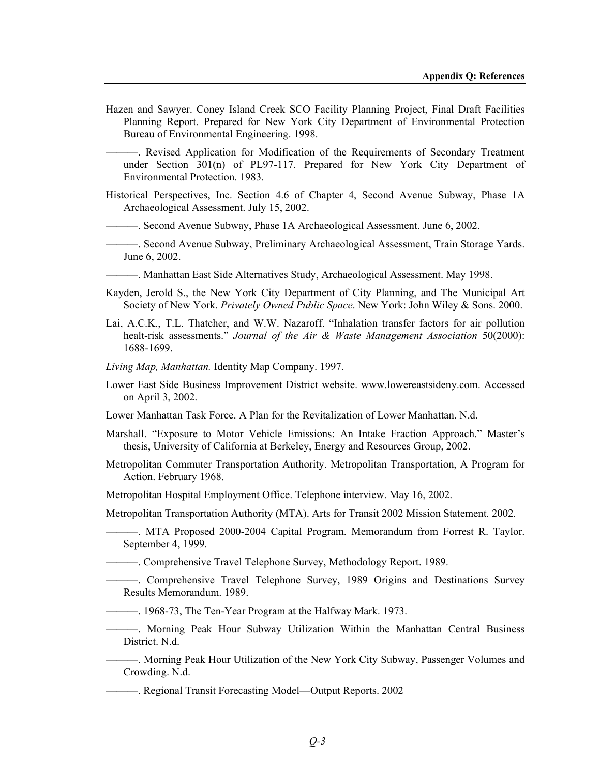Hazen and Sawyer. Coney Island Creek SCO Facility Planning Project, Final Draft Facilities Planning Report. Prepared for New York City Department of Environmental Protection Bureau of Environmental Engineering. 1998.

———. Revised Application for Modification of the Requirements of Secondary Treatment under Section 301(n) of PL97-117. Prepared for New York City Department of Environmental Protection. 1983.

- Historical Perspectives, Inc. Section 4.6 of Chapter 4, Second Avenue Subway, Phase 1A Archaeological Assessment. July 15, 2002.
- ———. Second Avenue Subway, Phase 1A Archaeological Assessment. June 6, 2002.
- ———. Second Avenue Subway, Preliminary Archaeological Assessment, Train Storage Yards. June 6, 2002.

———. Manhattan East Side Alternatives Study, Archaeological Assessment. May 1998.

- Kayden, Jerold S., the New York City Department of City Planning, and The Municipal Art Society of New York. *Privately Owned Public Space*. New York: John Wiley & Sons. 2000.
- Lai, A.C.K., T.L. Thatcher, and W.W. Nazaroff. "Inhalation transfer factors for air pollution healt-risk assessments." *Journal of the Air & Waste Management Association* 50(2000): 1688-1699.
- *Living Map, Manhattan.* Identity Map Company. 1997.
- Lower East Side Business Improvement District website. www.lowereastsideny.com. Accessed on April 3, 2002.
- Lower Manhattan Task Force. A Plan for the Revitalization of Lower Manhattan. N.d.
- Marshall. "Exposure to Motor Vehicle Emissions: An Intake Fraction Approach." Master's thesis, University of California at Berkeley, Energy and Resources Group, 2002.
- Metropolitan Commuter Transportation Authority. Metropolitan Transportation, A Program for Action. February 1968.
- Metropolitan Hospital Employment Office. Telephone interview. May 16, 2002.

Metropolitan Transportation Authority (MTA). Arts for Transit 2002 Mission Statement*.* 2002*.* 

———. MTA Proposed 2000-2004 Capital Program. Memorandum from Forrest R. Taylor. September 4, 1999.

- ———. Comprehensive Travel Telephone Survey, Methodology Report. 1989.
	- ———. Comprehensive Travel Telephone Survey, 1989 Origins and Destinations Survey Results Memorandum. 1989.
	- ———. 1968-73, The Ten-Year Program at the Halfway Mark. 1973.
- ———. Morning Peak Hour Subway Utilization Within the Manhattan Central Business District. N.d.

———. Morning Peak Hour Utilization of the New York City Subway, Passenger Volumes and Crowding. N.d.

———. Regional Transit Forecasting Model—Output Reports. 2002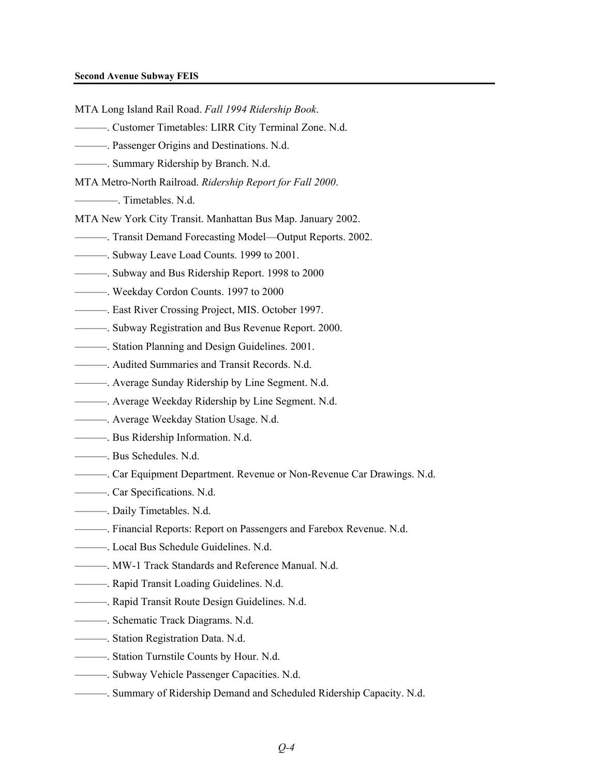## **Second Avenue Subway FEIS**

MTA Long Island Rail Road. *Fall 1994 Ridership Book*.

- ———. Customer Timetables: LIRR City Terminal Zone. N.d.
- ———. Passenger Origins and Destinations. N.d.
- ———. Summary Ridership by Branch. N.d.
- MTA Metro-North Railroad. *Ridership Report for Fall 2000*.
- ————. Timetables. N.d.
- MTA New York City Transit. Manhattan Bus Map. January 2002.
- ———. Transit Demand Forecasting Model—Output Reports. 2002.
- ———. Subway Leave Load Counts. 1999 to 2001.
- ———. Subway and Bus Ridership Report. 1998 to 2000
- ———. Weekday Cordon Counts. 1997 to 2000
- ———. East River Crossing Project, MIS. October 1997.
- ———. Subway Registration and Bus Revenue Report. 2000.
- ———. Station Planning and Design Guidelines. 2001.
- ———. Audited Summaries and Transit Records. N.d.
- ———. Average Sunday Ridership by Line Segment. N.d.
- ———. Average Weekday Ridership by Line Segment. N.d.
- ———. Average Weekday Station Usage. N.d.
- ———. Bus Ridership Information. N.d.
- ———. Bus Schedules. N.d.
- ———. Car Equipment Department. Revenue or Non-Revenue Car Drawings. N.d.
- ———. Car Specifications. N.d.
- ———. Daily Timetables. N.d.
- ———. Financial Reports: Report on Passengers and Farebox Revenue. N.d.
- ———. Local Bus Schedule Guidelines. N.d.
- ———. MW-1 Track Standards and Reference Manual. N.d.
- ———. Rapid Transit Loading Guidelines. N.d.
- ———. Rapid Transit Route Design Guidelines. N.d.
- ———. Schematic Track Diagrams. N.d.
- ———. Station Registration Data. N.d.
- ———. Station Turnstile Counts by Hour. N.d.
- ———. Subway Vehicle Passenger Capacities. N.d.
	- ———. Summary of Ridership Demand and Scheduled Ridership Capacity. N.d.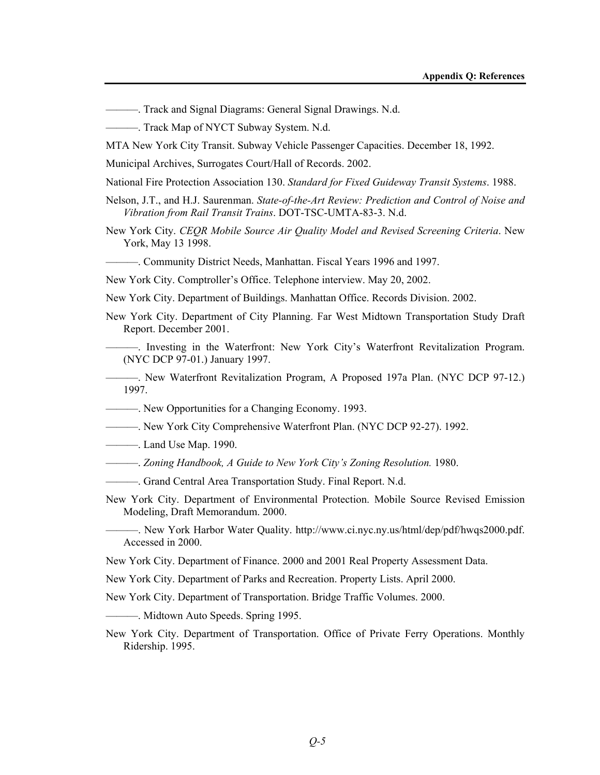- ———. Track and Signal Diagrams: General Signal Drawings. N.d.
- ———. Track Map of NYCT Subway System. N.d.
- MTA New York City Transit. Subway Vehicle Passenger Capacities. December 18, 1992.
- Municipal Archives, Surrogates Court/Hall of Records. 2002.
- National Fire Protection Association 130. *Standard for Fixed Guideway Transit Systems*. 1988.
- Nelson, J.T., and H.J. Saurenman. *State-of-the-Art Review: Prediction and Control of Noise and Vibration from Rail Transit Trains*. DOT-TSC-UMTA-83-3. N.d.
- New York City. *CEQR Mobile Source Air Quality Model and Revised Screening Criteria*. New York, May 13 1998.
- ———. Community District Needs, Manhattan. Fiscal Years 1996 and 1997.

New York City. Comptroller's Office. Telephone interview. May 20, 2002.

- New York City. Department of Buildings. Manhattan Office. Records Division. 2002.
- New York City. Department of City Planning. Far West Midtown Transportation Study Draft Report. December 2001.
- ———. Investing in the Waterfront: New York City's Waterfront Revitalization Program. (NYC DCP 97-01.) January 1997.
- ———. New Waterfront Revitalization Program, A Proposed 197a Plan. (NYC DCP 97-12.) 1997.
- ———. New Opportunities for a Changing Economy. 1993.
- ———. New York City Comprehensive Waterfront Plan. (NYC DCP 92-27). 1992.
- ———. Land Use Map. 1990.
- ———. *Zoning Handbook, A Guide to New York City's Zoning Resolution.* 1980.
- ———. Grand Central Area Transportation Study. Final Report. N.d.
- New York City. Department of Environmental Protection. Mobile Source Revised Emission Modeling, Draft Memorandum. 2000.
	- ———. New York Harbor Water Quality. http://www.ci.nyc.ny.us/html/dep/pdf/hwqs2000.pdf. Accessed in 2000.
- New York City. Department of Finance. 2000 and 2001 Real Property Assessment Data.
- New York City. Department of Parks and Recreation. Property Lists. April 2000.
- New York City. Department of Transportation. Bridge Traffic Volumes. 2000.
- ———. Midtown Auto Speeds. Spring 1995.
- New York City. Department of Transportation. Office of Private Ferry Operations. Monthly Ridership. 1995.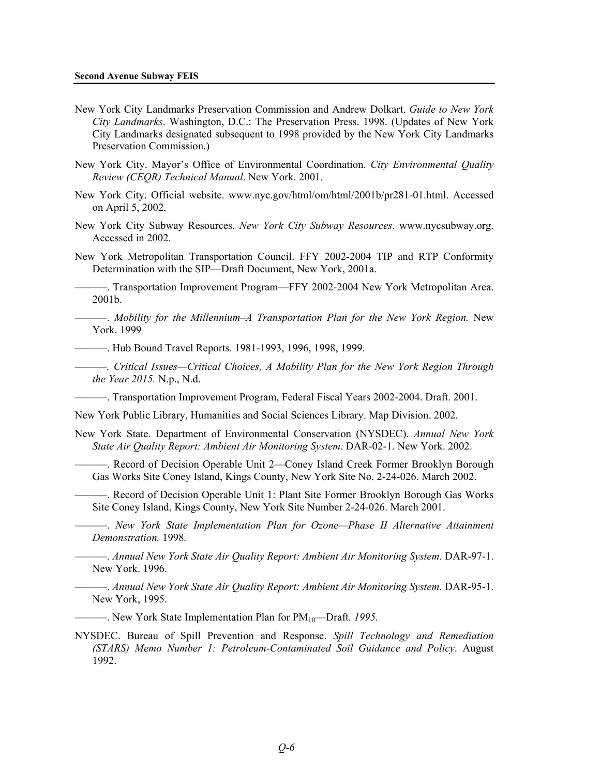- New York City Landmarks Preservation Commission and Andrew Dolkart. *Guide to New York City Landmarks*. Washington, D.C.: The Preservation Press. 1998. (Updates of New York City Landmarks designated subsequent to 1998 provided by the New York City Landmarks Preservation Commission.)
- New York City. Mayor's Office of Environmental Coordination. *City Environmental Quality Review (CEQR) Technical Manual*. New York. 2001.
- New York City. Official website. www.nyc.gov/html/om/html/2001b/pr281-01.html. Accessed on April 5, 2002.
- New York City Subway Resources. *New York City Subway Resources*. www.nycsubway.org. Accessed in 2002.
- New York Metropolitan Transportation Council. FFY 2002-2004 TIP and RTP Conformity Determination with the SIP—Draft Document, New York, 2001a.

———. Transportation Improvement Program—FFY 2002-2004 New York Metropolitan Area. 2001b.

———. *Mobility for the Millennium–A Transportation Plan for the New York Region.* New York. 1999

———. Hub Bound Travel Reports. 1981-1993, 1996, 1998, 1999.

———*. Critical Issues—Critical Choices, A Mobility Plan for the New York Region Through the Year 2015.* N.p., N.d.

———. Transportation Improvement Program, Federal Fiscal Years 2002-2004. Draft. 2001.

New York Public Library, Humanities and Social Sciences Library. Map Division. 2002.

- New York State. Department of Environmental Conservation (NYSDEC). *Annual New York State Air Quality Report: Ambient Air Monitoring System*. DAR-02-1. New York. 2002.
	- ———. Record of Decision Operable Unit 2—Coney Island Creek Former Brooklyn Borough Gas Works Site Coney Island, Kings County, New York Site No. 2-24-026. March 2002.
	- ———. Record of Decision Operable Unit 1: Plant Site Former Brooklyn Borough Gas Works Site Coney Island, Kings County, New York Site Number 2-24-026. March 2001.

———. *New York State Implementation Plan for Ozone—Phase II Alternative Attainment Demonstration.* 1998*.* 

———. *Annual New York State Air Quality Report: Ambient Air Monitoring System*. DAR-97-1. New York. 1996.

———. *Annual New York State Air Quality Report: Ambient Air Monitoring System.* DAR-95-1. New York, 1995.

———. New York State Implementation Plan for PM10—Draft. *1995.*

NYSDEC. Bureau of Spill Prevention and Response. *Spill Technology and Remediation (STARS) Memo Number 1: Petroleum-Contaminated Soil Guidance and Policy*. August 1992.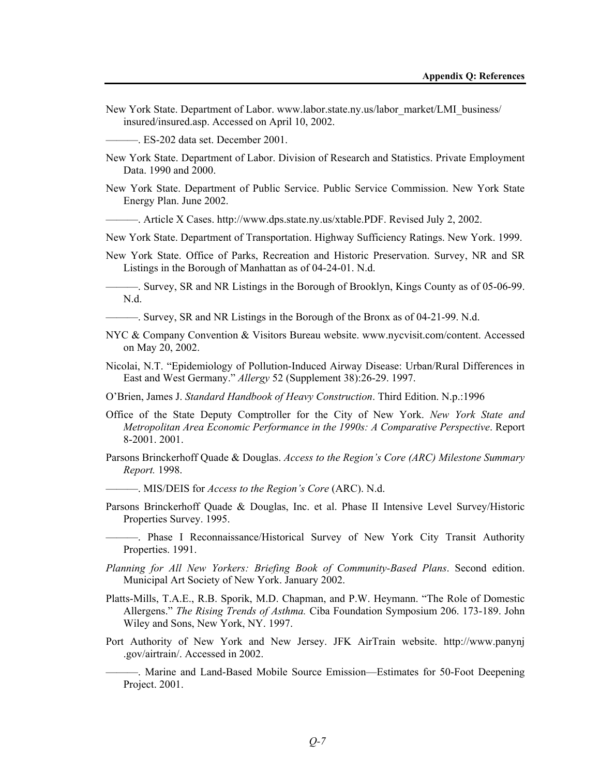New York State. Department of Labor. www.labor.state.ny.us/labor\_market/LMI\_business/ insured/insured.asp. Accessed on April 10, 2002.

———. ES-202 data set. December 2001.

- New York State. Department of Labor. Division of Research and Statistics. Private Employment Data. 1990 and 2000.
- New York State. Department of Public Service. Public Service Commission. New York State Energy Plan. June 2002.
	- ———. Article X Cases. http://www.dps.state.ny.us/xtable.PDF. Revised July 2, 2002.
- New York State. Department of Transportation. Highway Sufficiency Ratings. New York. 1999.
- New York State. Office of Parks, Recreation and Historic Preservation. Survey, NR and SR Listings in the Borough of Manhattan as of 04-24-01. N.d.

———. Survey, SR and NR Listings in the Borough of Brooklyn, Kings County as of 05-06-99. N.d.

———. Survey, SR and NR Listings in the Borough of the Bronx as of 04-21-99. N.d.

- NYC & Company Convention & Visitors Bureau website. www.nycvisit.com/content. Accessed on May 20, 2002.
- Nicolai, N.T. "Epidemiology of Pollution-Induced Airway Disease: Urban/Rural Differences in East and West Germany." *Allergy* 52 (Supplement 38):26-29. 1997.
- O'Brien, James J. *Standard Handbook of Heavy Construction*. Third Edition. N.p.:1996
- Office of the State Deputy Comptroller for the City of New York. *New York State and Metropolitan Area Economic Performance in the 1990s: A Comparative Perspective*. Report 8-2001. 2001.
- Parsons Brinckerhoff Quade & Douglas. *Access to the Region's Core (ARC) Milestone Summary Report.* 1998.
- ———. MIS/DEIS for *Access to the Region's Core* (ARC). N.d.
- Parsons Brinckerhoff Quade & Douglas, Inc. et al. Phase II Intensive Level Survey/Historic Properties Survey. 1995.
- ———. Phase I Reconnaissance/Historical Survey of New York City Transit Authority Properties. 1991.
- *Planning for All New Yorkers: Briefing Book of Community-Based Plans*. Second edition. Municipal Art Society of New York. January 2002.
- Platts-Mills, T.A.E., R.B. Sporik, M.D. Chapman, and P.W. Heymann. "The Role of Domestic Allergens." *The Rising Trends of Asthma.* Ciba Foundation Symposium 206. 173-189. John Wiley and Sons, New York, NY. 1997.
- Port Authority of New York and New Jersey. JFK AirTrain website. http://www.panynj .gov/airtrain/. Accessed in 2002.

———. Marine and Land-Based Mobile Source Emission—Estimates for 50-Foot Deepening Project. 2001.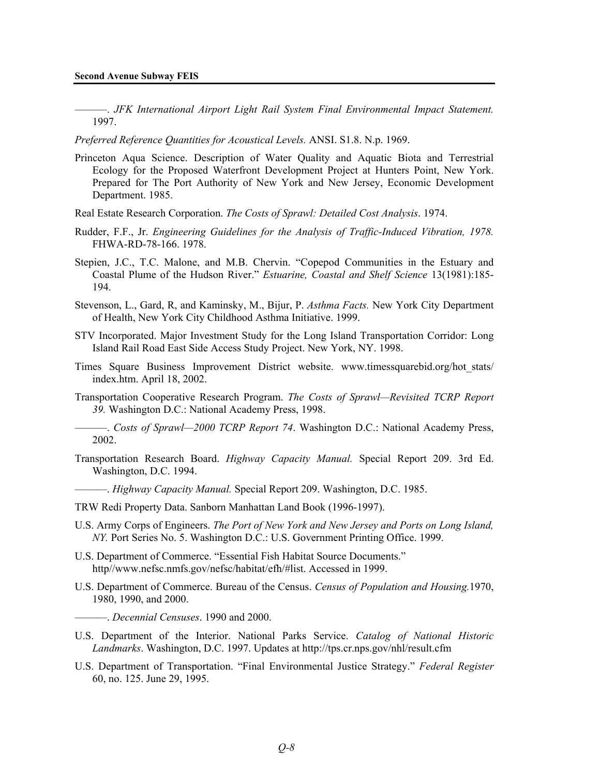———. *JFK International Airport Light Rail System Final Environmental Impact Statement.* 1997.

*Preferred Reference Quantities for Acoustical Levels.* ANSI. S1.8. N.p. 1969.

- Princeton Aqua Science. Description of Water Quality and Aquatic Biota and Terrestrial Ecology for the Proposed Waterfront Development Project at Hunters Point, New York. Prepared for The Port Authority of New York and New Jersey, Economic Development Department. 1985.
- Real Estate Research Corporation. *The Costs of Sprawl: Detailed Cost Analysis*. 1974.
- Rudder, F.F., Jr. *Engineering Guidelines for the Analysis of Traffic-Induced Vibration, 1978.*  FHWA-RD-78-166. 1978.
- Stepien, J.C., T.C. Malone, and M.B. Chervin. "Copepod Communities in the Estuary and Coastal Plume of the Hudson River." *Estuarine, Coastal and Shelf Science* 13(1981):185- 194.
- Stevenson, L., Gard, R, and Kaminsky, M., Bijur, P. *Asthma Facts.* New York City Department of Health, New York City Childhood Asthma Initiative. 1999.
- STV Incorporated. Major Investment Study for the Long Island Transportation Corridor: Long Island Rail Road East Side Access Study Project. New York, NY. 1998.
- Times Square Business Improvement District website. www.timessquarebid.org/hot\_stats/ index.htm. April 18, 2002.
- Transportation Cooperative Research Program. *The Costs of Sprawl—Revisited TCRP Report 39.* Washington D.C.: National Academy Press, 1998.
	- ———. *Costs of Sprawl—2000 TCRP Report 74*. Washington D.C.: National Academy Press, 2002.
- Transportation Research Board. *Highway Capacity Manual.* Special Report 209. 3rd Ed. Washington, D.C. 1994.
- ———. *Highway Capacity Manual.* Special Report 209. Washington, D.C. 1985.
- TRW Redi Property Data. Sanborn Manhattan Land Book (1996-1997).
- U.S. Army Corps of Engineers. *The Port of New York and New Jersey and Ports on Long Island, NY.* Port Series No. 5. Washington D.C.: U.S. Government Printing Office. 1999.
- U.S. Department of Commerce. "Essential Fish Habitat Source Documents." http//www.nefsc.nmfs.gov/nefsc/habitat/efh/#list. Accessed in 1999.
- U.S. Department of Commerce. Bureau of the Census. *Census of Population and Housing.*1970, 1980, 1990, and 2000.
	- ———. *Decennial Censuses*. 1990 and 2000.
- U.S. Department of the Interior. National Parks Service. *Catalog of National Historic Landmarks*. Washington, D.C. 1997. Updates at http://tps.cr.nps.gov/nhl/result.cfm
- U.S. Department of Transportation. "Final Environmental Justice Strategy." *Federal Register* 60, no. 125. June 29, 1995.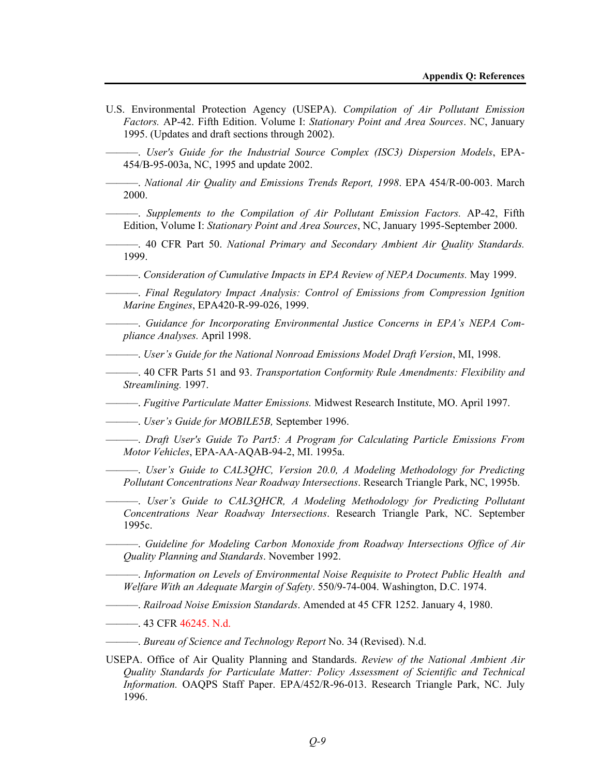U.S. Environmental Protection Agency (USEPA). *Compilation of Air Pollutant Emission Factors.* AP-42. Fifth Edition. Volume I: *Stationary Point and Area Sources*. NC, January 1995. (Updates and draft sections through 2002).

———. *User's Guide for the Industrial Source Complex (ISC3) Dispersion Models*, EPA-454/B-95-003a, NC, 1995 and update 2002.

———. *National Air Quality and Emissions Trends Report, 1998*. EPA 454/R-00-003. March 2000.

———. *Supplements to the Compilation of Air Pollutant Emission Factors.* AP-42, Fifth Edition, Volume I: *Stationary Point and Area Sources*, NC, January 1995-September 2000.

———. 40 CFR Part 50. *National Primary and Secondary Ambient Air Quality Standards.* 1999.

———. *Consideration of Cumulative Impacts in EPA Review of NEPA Documents.* May 1999.

———. *Final Regulatory Impact Analysis: Control of Emissions from Compression Ignition Marine Engines*, EPA420-R-99-026, 1999.

———. *Guidance for Incorporating Environmental Justice Concerns in EPA's NEPA Compliance Analyses.* April 1998.

———. *User's Guide for the National Nonroad Emissions Model Draft Version*, MI, 1998.

———. 40 CFR Parts 51 and 93. *Transportation Conformity Rule Amendments: Flexibility and Streamlining.* 1997.

———. *Fugitive Particulate Matter Emissions.* Midwest Research Institute, MO. April 1997.

———. *User's Guide for MOBILE5B,* September 1996.

———. *Draft User's Guide To Part5: A Program for Calculating Particle Emissions From Motor Vehicles*, EPA-AA-AQAB-94-2, MI. 1995a.

———. *User's Guide to CAL3QHC, Version 20.0, A Modeling Methodology for Predicting Pollutant Concentrations Near Roadway Intersections*. Research Triangle Park, NC, 1995b.

———. *User's Guide to CAL3QHCR, A Modeling Methodology for Predicting Pollutant Concentrations Near Roadway Intersections*. Research Triangle Park, NC. September 1995c.

———. *Guideline for Modeling Carbon Monoxide from Roadway Intersections Office of Air Quality Planning and Standards*. November 1992.

———. *Information on Levels of Environmental Noise Requisite to Protect Public Health and Welfare With an Adequate Margin of Safety*. 550/9-74-004. Washington, D.C. 1974.

———. *Railroad Noise Emission Standards*. Amended at 45 CFR 1252. January 4, 1980.

———. 43 CFR 46245. N.d.

———. *Bureau of Science and Technology Report* No. 34 (Revised). N.d.

USEPA. Office of Air Quality Planning and Standards. *Review of the National Ambient Air Quality Standards for Particulate Matter: Policy Assessment of Scientific and Technical Information.* OAQPS Staff Paper. EPA/452/R-96-013. Research Triangle Park, NC. July 1996.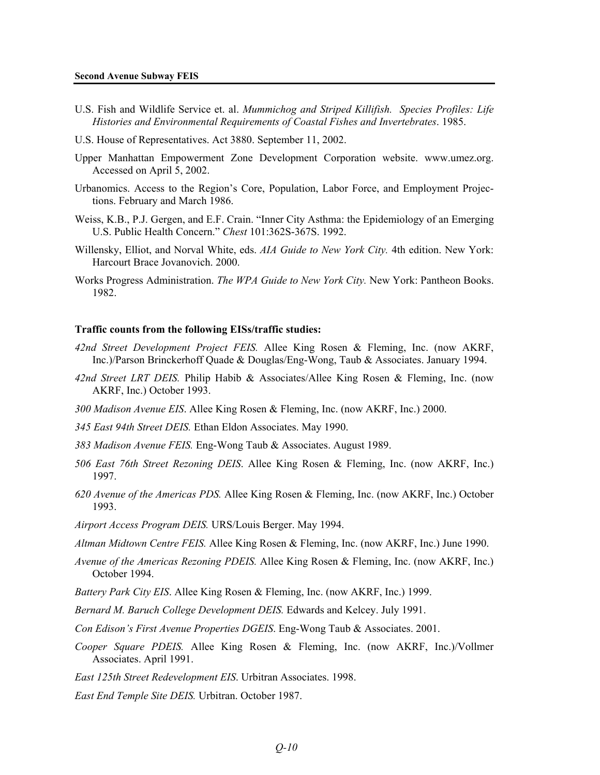- U.S. Fish and Wildlife Service et. al. *Mummichog and Striped Killifish. Species Profiles: Life Histories and Environmental Requirements of Coastal Fishes and Invertebrates*. 1985.
- U.S. House of Representatives. Act 3880. September 11, 2002.
- Upper Manhattan Empowerment Zone Development Corporation website. www.umez.org. Accessed on April 5, 2002.
- Urbanomics. Access to the Region's Core, Population, Labor Force, and Employment Projections. February and March 1986.
- Weiss, K.B., P.J. Gergen, and E.F. Crain. "Inner City Asthma: the Epidemiology of an Emerging U.S. Public Health Concern." *Chest* 101:362S-367S. 1992.
- Willensky, Elliot, and Norval White, eds. *AIA Guide to New York City.* 4th edition. New York: Harcourt Brace Jovanovich. 2000.
- Works Progress Administration. *The WPA Guide to New York City.* New York: Pantheon Books. 1982.

## **Traffic counts from the following EISs/traffic studies:**

- *42nd Street Development Project FEIS.* Allee King Rosen & Fleming, Inc. (now AKRF, Inc.)/Parson Brinckerhoff Quade & Douglas/Eng-Wong, Taub & Associates. January 1994.
- *42nd Street LRT DEIS.* Philip Habib & Associates/Allee King Rosen & Fleming, Inc. (now AKRF, Inc.) October 1993.
- *300 Madison Avenue EIS*. Allee King Rosen & Fleming, Inc. (now AKRF, Inc.) 2000.
- *345 East 94th Street DEIS.* Ethan Eldon Associates. May 1990.
- *383 Madison Avenue FEIS.* Eng-Wong Taub & Associates. August 1989.
- *506 East 76th Street Rezoning DEIS*. Allee King Rosen & Fleming, Inc. (now AKRF, Inc.) 1997.
- *620 Avenue of the Americas PDS.* Allee King Rosen & Fleming, Inc. (now AKRF, Inc.) October 1993.
- *Airport Access Program DEIS.* URS/Louis Berger. May 1994.
- *Altman Midtown Centre FEIS.* Allee King Rosen & Fleming, Inc. (now AKRF, Inc.) June 1990.
- *Avenue of the Americas Rezoning PDEIS.* Allee King Rosen & Fleming, Inc. (now AKRF, Inc.) October 1994.
- *Battery Park City EIS*. Allee King Rosen & Fleming, Inc. (now AKRF, Inc.) 1999.
- *Bernard M. Baruch College Development DEIS.* Edwards and Kelcey. July 1991.
- *Con Edison's First Avenue Properties DGEIS*. Eng-Wong Taub & Associates. 2001.
- *Cooper Square PDEIS.* Allee King Rosen & Fleming, Inc. (now AKRF, Inc.)/Vollmer Associates. April 1991.
- *East 125th Street Redevelopment EIS*. Urbitran Associates. 1998.
- *East End Temple Site DEIS.* Urbitran. October 1987.